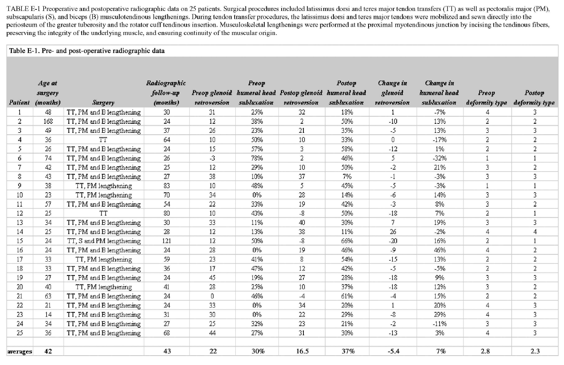TABLE E-1 Preoperative and postoperative radiographic data on 25 patients. Surgical procedures included latissimus dorsi and teres major tendon transfers (TT) as well as pectoralis major (PM), subscapularis (S), and biceps (B) musculotendinous lengthenings. During tendon transfer procedures, the latissimus dorsi and teres major tendons were mobilized and sewn directly into the periosteum of the greater tuberosity and the rotator cuff tendinous insertion. Musculoskeletal lengthenings were performed at the proximal myotendinous junction by incising the tendinous fibers, preserving the integrity of the underlying muscle, and ensuring continuity of the muscular origin.

## Table E-1. Pre- and post-operative radiographic data

|                | Age at           |                          | Radiographic |                 | Preop       |                                                        | Postop      | Change in    | Change in    |                |                |
|----------------|------------------|--------------------------|--------------|-----------------|-------------|--------------------------------------------------------|-------------|--------------|--------------|----------------|----------------|
|                | surgery          |                          | follow-up    |                 | subluxation | Preop glenoid humeral head Postop glenoid humeral head |             | glenoid      | humeral head | Preop          | Postop         |
|                | Patient (months) | Surgery                  | (months)     | retroversion    |             | retroversion                                           | subluxation | retroversion | subluxation  | deformity type | deformity type |
|                | 48               | TT, PM and B lengthening | 30           | 31              | 25%         | 32                                                     | 18%         |              | $-7%$        | 4              | 3              |
| $\overline{2}$ | 168              | TT, PM and B lengthening | 24           | 12              | 38%         | $\overline{2}$                                         | 50%         | $-10$        | 13%          | $\overline{2}$ | 2              |
| 3.             | 49               | TT, PM and B lengthening | 37           | 26              | 23%         | 21                                                     | 35%         | -5           | 13%          | 3              | 3              |
| 4              | 36               | <b>TT</b>                | 64           | 10 <sup>°</sup> | 50%         | 10                                                     | 33%         | 0            | $-17%$       | $\overline{2}$ | 2              |
| 5              | 26               | TT, PM and B lengthening | 24           | 15              | 57%         | 3                                                      | 58%         | $-12$        | 1%           | $\overline{2}$ | 2              |
| б.             | 74               | TT, PM and B lengthening | 26           | -3              | 78%         | $\overline{2}$                                         | 46%         | 5            | $-32%$       |                |                |
| 7              | 42               | TT, PM and B lengthening | 25           | 12              | 29%         | 10                                                     | 50%         | $-2$         | 21%          | 3              | $\overline{2}$ |
| 8              | 43               | TT, PM and B lengthening | 27           | 38.             | 10%         | 37                                                     | 7%          | $-1$         | $-3%$        | 3              | 3              |
| 9              | 38               | TT, PM lengthening       | 83           | 10              | 48%         | 5                                                      | 45%         | -5           | -3%          |                |                |
| 10             | 23               | TT, PM lengthening       | 70           | 34              | 0%          | 28                                                     | 14%         | $-6$         | 14%          | 3              | 3              |
| 11             | 57               | TT, PM and B lengthening | 54           | 22              | 33%         | 19                                                     | 42%         | $-3$         | 8%           | 3              | 2              |
| 12             | 25               | тт                       | 80           | 10              | 43%         | $-8$                                                   | 50%         | $-18$        | 7%           | $\overline{2}$ |                |
| 13             | 34               | TT, PM and B lengthening | 30           | 33              | 11%         | 40                                                     | 30%         | 7            | 19%          | 3              | 3              |
| 14             | 25               | TT, PM and B lengthening | 28           | 12              | 13%         | 38                                                     | 11%         | 26           | $-2%$        | $\overline{4}$ | 4              |
| 15             | 24               | TT, S and PM lengthening | 121          | 12              | 50%         | $\mathbf{-8}$                                          | 66%         | $-20$        | 16%          | $\overline{2}$ |                |
| 16             | 24               | TT, PM and B lengthening | 24           | 28              | 0%          | 19                                                     | 46%         | -9           | 46%          | $\overline{4}$ | 2              |
| 17             | 33               | TT, PM lengthening       | 59           | 23              | 41%         | 8                                                      | 54%         | $-15$        | 13%          | 2              | 2              |
| 18             | 33               | TT, PM and B lengthening | 36           | 17              | 47%         | $12\,$                                                 | 42%         | -5           | $-5%$        | $\overline{2}$ | 2              |
| 19             | 27               | TT, PM and B lengthening | 24           | 45              | 19%         | 27                                                     | 28%         | $-18$        | 9%           | 3              | 3              |
| 20             | 40               | TT, PM lengthening       | 41           | 28              | 25%         | 10                                                     | 37%         | $-18$        | 12%          | 3              | 2              |
| 21             | 63               | TT, PM and B lengthening | 24           | 0               | 46%         | $-4$                                                   | 61%         | $-4$         | 15%          | $\overline{2}$ | 2              |
| 22             | 21               | TT, PM and B lengthening | 24           | 33              | 0%          | 34                                                     | 20%         |              | 20%          | $\overline{4}$ | 3              |
| 23             | 14               | TT, PM and B lengthening | 31           | 30              | 0%          | 22                                                     | 29%         | -8           | 29%          | 4              | 3              |
| 24             | 34               | TT, PM and B lengthening | 27           | 25              | 32%         | 23                                                     | 21%         | -2           | $-11%$       | 3              | 3              |
| 25             | 36               | TT, PM and B lengthening | 68           | 44              | 27%         | 31                                                     | 30%         | $-13$        | 3%           | $\overline{4}$ | 3              |
| averages       | 42               |                          | 43           | 22              | 30%         | 16.5                                                   | 37%         | $-5.4$       | 7%           | 2.8            | 2.3            |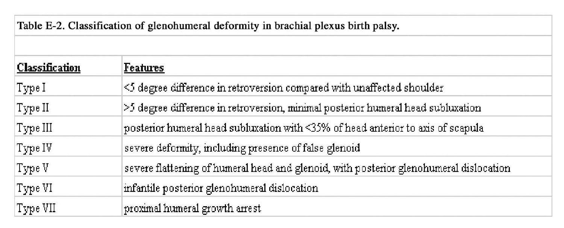|  | Table E-2. Classification of glenohumeral deformity in brachial plexus birth palsy. |  |  |  |
|--|-------------------------------------------------------------------------------------|--|--|--|
|  |                                                                                     |  |  |  |

| <b>Classification</b> | Features                                                                               |
|-----------------------|----------------------------------------------------------------------------------------|
| Type I                | $\le$ 5 degree difference in retroversion compared with unaffected shoulder            |
| Type II               | $\geq$ 5 degree difference in retroversion, minimal posterior humeral head subluxation |
| Type III              | posterior humeral head subluxation with <35% of head anterior to axis of scapula       |
| Type IV               | severe deformity, including presence of false glenoid                                  |
| Type V                | severe flattening of humeral head and glenoid, with posterior glenohumeral dislocation |
| Type VI               | infantile posterior glenohumeral dislocation                                           |
| Type VII              | proximal humeral growth arrest                                                         |